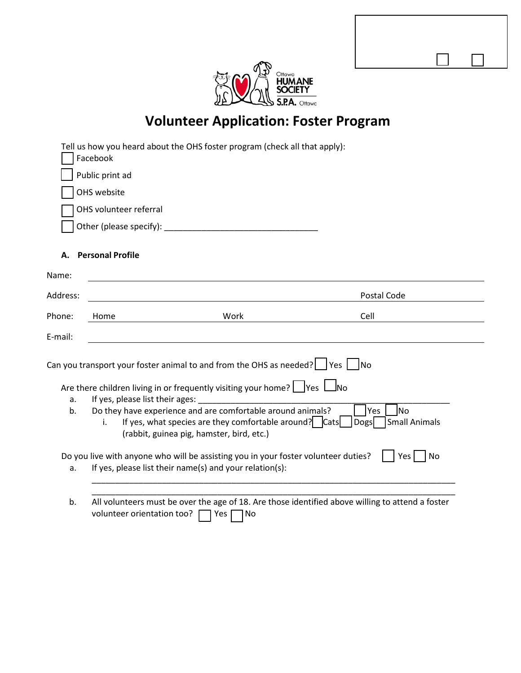| Ottawa<br>AΔI<br>IF<br>Н<br>I Y |
|---------------------------------|
| 5.PA<br>Ottawa                  |

Confirmed for FO: Yes No

# **Volunteer Application: Foster Program**

|                                                                                                                                                                                                                                                                                                                                                                                                                                                                                                                                                                                             | Tell us how you heard about the OHS foster program (check all that apply):<br>Facebook                                                      |             |  |  |
|---------------------------------------------------------------------------------------------------------------------------------------------------------------------------------------------------------------------------------------------------------------------------------------------------------------------------------------------------------------------------------------------------------------------------------------------------------------------------------------------------------------------------------------------------------------------------------------------|---------------------------------------------------------------------------------------------------------------------------------------------|-------------|--|--|
|                                                                                                                                                                                                                                                                                                                                                                                                                                                                                                                                                                                             | Public print ad                                                                                                                             |             |  |  |
|                                                                                                                                                                                                                                                                                                                                                                                                                                                                                                                                                                                             | OHS website                                                                                                                                 |             |  |  |
|                                                                                                                                                                                                                                                                                                                                                                                                                                                                                                                                                                                             | OHS volunteer referral                                                                                                                      |             |  |  |
|                                                                                                                                                                                                                                                                                                                                                                                                                                                                                                                                                                                             | Other (please specify):                                                                                                                     |             |  |  |
| А.                                                                                                                                                                                                                                                                                                                                                                                                                                                                                                                                                                                          | <b>Personal Profile</b>                                                                                                                     |             |  |  |
| Name:                                                                                                                                                                                                                                                                                                                                                                                                                                                                                                                                                                                       |                                                                                                                                             |             |  |  |
| Address:                                                                                                                                                                                                                                                                                                                                                                                                                                                                                                                                                                                    |                                                                                                                                             | Postal Code |  |  |
| Phone:                                                                                                                                                                                                                                                                                                                                                                                                                                                                                                                                                                                      | Home<br>Work                                                                                                                                | Cell        |  |  |
| E-mail:                                                                                                                                                                                                                                                                                                                                                                                                                                                                                                                                                                                     |                                                                                                                                             |             |  |  |
| Can you transport your foster animal to and from the OHS as needed? $\Box$ Yes $\Box$ No<br>Are there children living in or frequently visiting your home? $\Box$ Yes $\Box$ No<br>If yes, please list their ages:<br>a.<br>Do they have experience and are comfortable around animals?<br><b>No</b><br>Yes<br>b.<br>If yes, what species are they comfortable around? $\vert$ $\vert$ Cats $\vert$<br>Small Animals<br><b>Dogs</b><br>i.<br>(rabbit, guinea pig, hamster, bird, etc.)<br>Do you live with anyone who will be assisting you in your foster volunteer duties?<br>Yes  <br>No |                                                                                                                                             |             |  |  |
| a.                                                                                                                                                                                                                                                                                                                                                                                                                                                                                                                                                                                          | If yes, please list their name(s) and your relation(s):                                                                                     |             |  |  |
| b.                                                                                                                                                                                                                                                                                                                                                                                                                                                                                                                                                                                          | All volunteers must be over the age of 18. Are those identified above willing to attend a foster<br>volunteer orientation too?<br>Yes<br>No |             |  |  |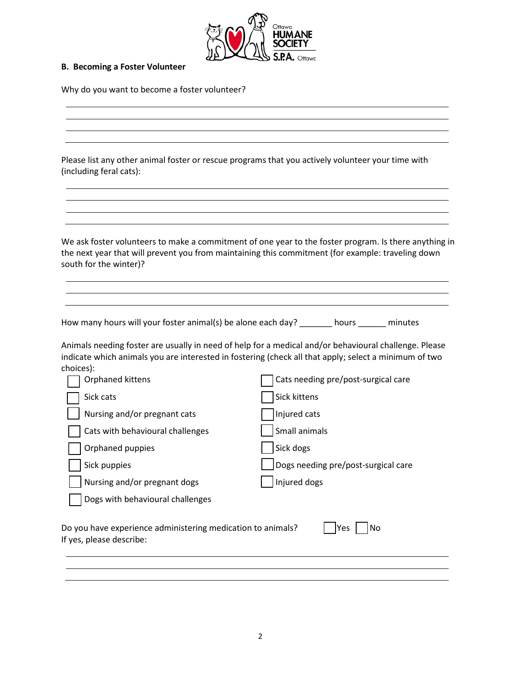

#### **B. Becoming a Foster Volunteer**

Why do you want to become a foster volunteer?

 Please list any other animal foster or rescue programs that you actively volunteer your time with (including feral cats):

 We ask foster volunteers to make a commitment of one year to the foster program. Is there anything in the next year that will prevent you from maintaining this commitment (for example: traveling down south for the winter)?

How many hours will your foster animal(s) be alone each day? \_\_\_\_\_\_\_ hours \_\_\_\_\_\_ minutes

 Animals needing foster are usually in need of help for a medical and/or behavioural challenge. Please indicate which animals you are interested in fostering (check all that apply; select a minimum of two choices):

| Orphaned kittens                                                                                     | Cats needing pre/post-surgical care |  |  |  |
|------------------------------------------------------------------------------------------------------|-------------------------------------|--|--|--|
| Sick cats                                                                                            | Sick kittens                        |  |  |  |
| Nursing and/or pregnant cats                                                                         | Injured cats                        |  |  |  |
| Cats with behavioural challenges                                                                     | Small animals                       |  |  |  |
| Orphaned puppies                                                                                     | Sick dogs                           |  |  |  |
| Sick puppies                                                                                         | Dogs needing pre/post-surgical care |  |  |  |
| Nursing and/or pregnant dogs                                                                         | Injured dogs                        |  |  |  |
| Dogs with behavioural challenges                                                                     |                                     |  |  |  |
| Do you have experience administering medication to animals?<br>No<br>Yes<br>If yes, please describe: |                                     |  |  |  |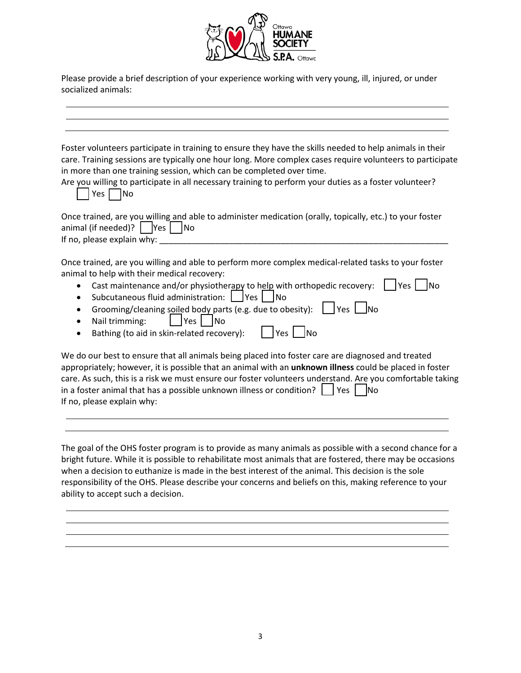

 Please provide a brief description of your experience working with very young, ill, injured, or under socialized animals:

| Foster volunteers participate in training to ensure they have the skills needed to help animals in their<br>care. Training sessions are typically one hour long. More complex cases require volunteers to participate<br>Are you willing to participate in all necessary training to perform your duties as a foster volunteer?                |
|------------------------------------------------------------------------------------------------------------------------------------------------------------------------------------------------------------------------------------------------------------------------------------------------------------------------------------------------|
| Once trained, are you willing and able to administer medication (orally, topically, etc.) to your foster                                                                                                                                                                                                                                       |
| Once trained, are you willing and able to perform more complex medical-related tasks to your foster<br>Cast maintenance and/or physiotherapy to help with orthopedic recovery:<br>l Yes I<br><b>INo</b><br>Grooming/cleaning soiled body parts (e.g. due to obesity): $\Box$ Yes $\Box$ No                                                     |
| We do our best to ensure that all animals being placed into foster care are diagnosed and treated<br>appropriately; however, it is possible that an animal with an unknown illness could be placed in foster<br>care. As such, this is a risk we must ensure our foster volunteers understand. Are you comfortable taking<br>Yes<br><b>INo</b> |
|                                                                                                                                                                                                                                                                                                                                                |

 The goal of the OHS foster program is to provide as many animals as possible with a second chance for a bright future. While it is possible to rehabilitate most animals that are fostered, there may be occasions when a decision to euthanize is made in the best interest of the animal. This decision is the sole responsibility of the OHS. Please describe your concerns and beliefs on this, making reference to your ability to accept such a decision.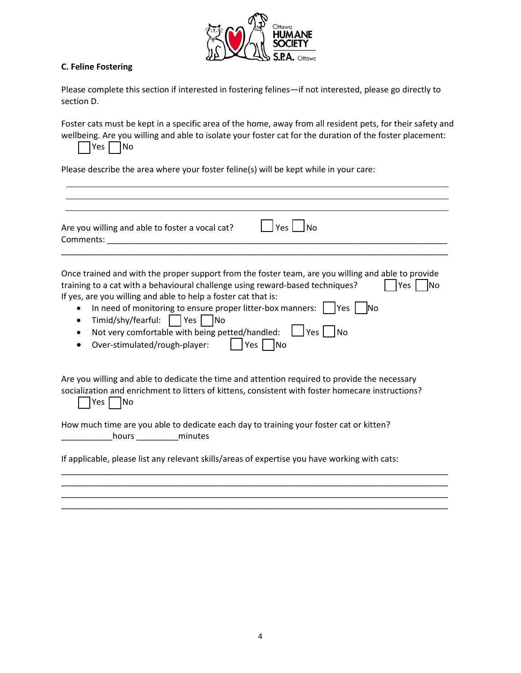

# **C. Feline Fostering**

Please complete this section if interested in fostering felines—if not interested, please go directly to section D.

Yes | No Foster cats must be kept in a specific area of the home, away from all resident pets, for their safety and wellbeing. Are you willing and able to isolate your foster cat for the duration of the foster placement:

Please describe the area where your foster feline(s) will be kept while in your care:

| Are you willing and able to foster a vocal cat?<br><b>Comments: Comments: Comments: Comments:</b>                                                                                                                                                                                                                                                                                                                                                                           | Yes<br>l No                                             |
|-----------------------------------------------------------------------------------------------------------------------------------------------------------------------------------------------------------------------------------------------------------------------------------------------------------------------------------------------------------------------------------------------------------------------------------------------------------------------------|---------------------------------------------------------|
| Once trained and with the proper support from the foster team, are you willing and able to provide<br>training to a cat with a behavioural challenge using reward-based techniques?<br>If yes, are you willing and able to help a foster cat that is:<br>In need of monitoring to ensure proper litter-box manners: $\vert$  Yes<br>$\bullet$<br>Timid/shy/fearful:     Yes     No<br>٠<br>Not very comfortable with being petted/handled:<br>Over-stimulated/rough-player: | Yes<br>lNo<br><b>INo</b><br>$ Yes $ $ No$<br> Yes    No |
| Are you willing and able to dedicate the time and attention required to provide the necessary<br>socialization and enrichment to litters of kittens, consistent with foster homecare instructions?<br> No<br>Yes I                                                                                                                                                                                                                                                          |                                                         |
| How much time are you able to dedicate each day to training your foster cat or kitten?<br>hours ____________ minutes                                                                                                                                                                                                                                                                                                                                                        |                                                         |
| If applicable, please list any relevant skills/areas of expertise you have working with cats:                                                                                                                                                                                                                                                                                                                                                                               |                                                         |

\_\_\_\_\_\_\_\_\_\_\_\_\_\_\_\_\_\_\_\_\_\_\_\_\_\_\_\_\_\_\_\_\_\_\_\_\_\_\_\_\_\_\_\_\_\_\_\_\_\_\_\_\_\_\_\_\_\_\_\_\_\_\_\_\_\_\_\_\_\_\_\_\_\_\_\_\_\_\_\_\_\_\_ \_\_\_\_\_\_\_\_\_\_\_\_\_\_\_\_\_\_\_\_\_\_\_\_\_\_\_\_\_\_\_\_\_\_\_\_\_\_\_\_\_\_\_\_\_\_\_\_\_\_\_\_\_\_\_\_\_\_\_\_\_\_\_\_\_\_\_\_\_\_\_\_\_\_\_\_\_\_\_\_\_\_\_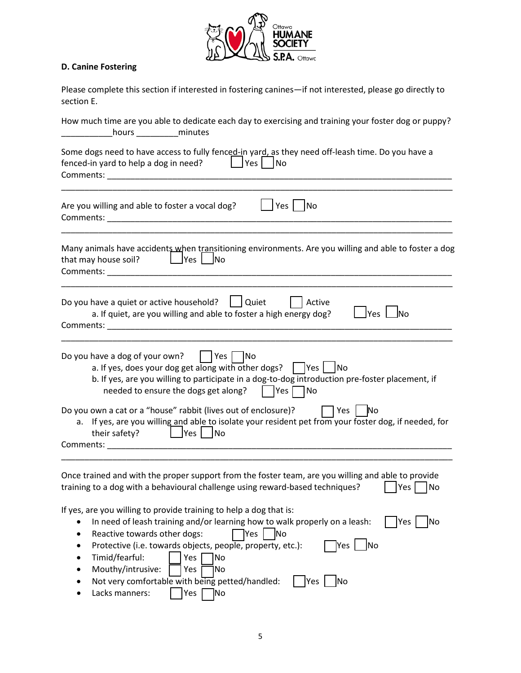

# **D. Canine Fostering**

| Please complete this section if interested in fostering canines—if not interested, please go directly to |  |
|----------------------------------------------------------------------------------------------------------|--|
| section E.                                                                                               |  |

| How much time are you able to dedicate each day to exercising and training your foster dog or puppy?<br>hours ______________minutes                                                                                                                                                                                                                                                                                                                                                       |
|-------------------------------------------------------------------------------------------------------------------------------------------------------------------------------------------------------------------------------------------------------------------------------------------------------------------------------------------------------------------------------------------------------------------------------------------------------------------------------------------|
| Some dogs need to have access to fully fenced-in yard, as they need off-leash time. Do you have a<br>_ Yes   ∣No<br>fenced-in yard to help a dog in need?                                                                                                                                                                                                                                                                                                                                 |
| Are you willing and able to foster a vocal dog?<br>Yes  <br>No                                                                                                                                                                                                                                                                                                                                                                                                                            |
| Many animals have accidents when transitioning environments. Are you willing and able to foster a dog<br>$\Box$ Yes $\Box$ No<br>that may house soil?                                                                                                                                                                                                                                                                                                                                     |
| Do you have a quiet or active household?<br>Quiet<br>Active<br>a. If quiet, are you willing and able to foster a high energy dog?<br>lYes I<br><b>No</b>                                                                                                                                                                                                                                                                                                                                  |
| Do you have a dog of your own?     Yes     No<br>a. If yes, does your dog get along with other dogs? $\parallel$ Yes $\parallel$ No<br>b. If yes, are you willing to participate in a dog-to-dog introduction pre-foster placement, if<br>needed to ensure the dogs get along?<br>$Yes \Box No$                                                                                                                                                                                           |
| Do you own a cat or a "house" rabbit (lives out of enclosure)?<br>□ Yes   No<br>a. If yes, are you willing and able to isolate your resident pet from your foster dog, if needed, for<br>$ $ Yes<br>their safety?<br><b>No</b>                                                                                                                                                                                                                                                            |
| Once trained and with the proper support from the foster team, are you willing and able to provide<br>training to a dog with a behavioural challenge using reward-based techniques?<br>Yes   No                                                                                                                                                                                                                                                                                           |
| If yes, are you willing to provide training to help a dog that is:<br>In need of leash training and/or learning how to walk properly on a leash:<br>Yes<br>No<br>Reactive towards other dogs:<br>No<br>Yes<br>٠<br>Yes   No<br>Protective (i.e. towards objects, people, property, etc.):<br>٠<br>Timid/fearful:<br>Yes<br>No<br>٠<br>Mouthy/intrusive:<br>Yes<br> No<br>$\bullet$<br>Not very comfortable with being petted/handled:<br>Yes<br><b>No</b><br>Lacks manners:<br>Yes<br> No |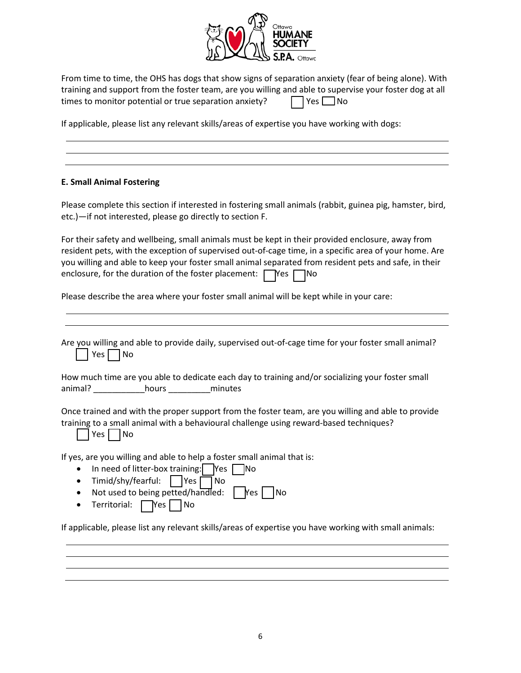

| From time to time, the OHS has dogs that show signs of separation anxiety (fear of being alone). With   |                      |
|---------------------------------------------------------------------------------------------------------|----------------------|
| training and support from the foster team, are you willing and able to supervise your foster dog at all |                      |
| times to monitor potential or true separation anxiety?                                                  | $\Box$ Yes $\Box$ No |

If applicable, please list any relevant skills/areas of expertise you have working with dogs:

# **E. Small Animal Fostering**

 etc.)—if not interested, please go directly to section F. Please complete this section if interested in fostering small animals (rabbit, guinea pig, hamster, bird,

 For their safety and wellbeing, small animals must be kept in their provided enclosure, away from resident pets, with the exception of supervised out-of-cage time, in a specific area of your home. Are you willing and able to keep your foster small animal separated from resident pets and safe, in their enclosure, for the duration of the foster placement:  $\Box$  Yes  $\Box$  No

Please describe the area where your foster small animal will be kept while in your care:

| Are you willing and able to provide daily, supervised out-of-cage time for your foster small animal?<br>No<br>Yes l                                                                                                                                                                                                                                                                                                                                                                           |
|-----------------------------------------------------------------------------------------------------------------------------------------------------------------------------------------------------------------------------------------------------------------------------------------------------------------------------------------------------------------------------------------------------------------------------------------------------------------------------------------------|
| How much time are you able to dedicate each day to training and/or socializing your foster small<br>animal? hours minutes                                                                                                                                                                                                                                                                                                                                                                     |
| Once trained and with the proper support from the foster team, are you willing and able to provide<br>training to a small animal with a behavioural challenge using reward-based techniques?<br>No<br>Yes                                                                                                                                                                                                                                                                                     |
| If yes, are you willing and able to help a foster small animal that is:<br>In need of litter-box training: $\vert$ Yes $\vert$ No<br>$\bullet$<br>Timid/shy/fearful:     Yes [<br>l No<br>$\bullet$<br>Not used to being petted/handled: $ $   $ $   $ $   $ $   $ $   $ $   $ $   $ $   $ $   $ $   $ $   $ $   $ $   $ $   $ $   $ $   $ $   $ $   $ $   $ $   $ $   $ $   $ $   $ $   $ $   $ $   $ $   $ $   $ $   $ $   $ $  <br>l No<br>$\bullet$<br>Territorial:<br>l No<br>$\Box$ Yes |

If applicable, please list any relevant skills/areas of expertise you have working with small animals: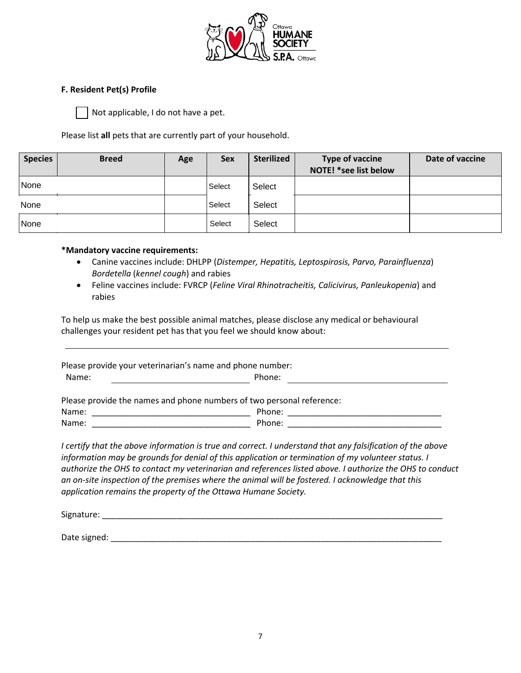

#### **F. Resident Pet(s) Profile**

Not applicable, I do not have a pet.

Please list **all** pets that are currently part of your household.

| <b>Species</b> | <b>Breed</b> | Age | <b>Sex</b> | <b>Sterilized</b> | <b>Type of vaccine</b><br>NOTE! *see list below | Date of vaccine |
|----------------|--------------|-----|------------|-------------------|-------------------------------------------------|-----------------|
| None           |              |     | Select     | Select            |                                                 |                 |
| None           |              |     | Select     | Select            |                                                 |                 |
| None           |              |     | Select     | Select            |                                                 |                 |

#### **\*Mandatory vaccine requirements:**

- Canine vaccines include: DHLPP (*Distemper, Hepatitis, Leptospirosis, Parvo, Parainfluenza*) *Bordetella* (*kennel cough*) and rabies
- Feline vaccines include: FVRCP (*Feline Viral Rhinotracheitis, Calicivirus, Panleukopenia*) and rabies

 To help us make the best possible animal matches, please disclose any medical or behavioural challenges your resident pet has that you feel we should know about:

| Please provide your veterinarian's name and phone number:             |                                                                                                                |  |  |  |
|-----------------------------------------------------------------------|----------------------------------------------------------------------------------------------------------------|--|--|--|
| Name:                                                                 | Phone:                                                                                                         |  |  |  |
| Please provide the names and phone numbers of two personal reference: |                                                                                                                |  |  |  |
| Name:                                                                 | Phone: and the contract of the contract of the contract of the contract of the contract of the contract of the |  |  |  |
| Name:                                                                 | Phone: and the contract of the contract of the contract of the contract of the contract of the contract of the |  |  |  |
|                                                                       |                                                                                                                |  |  |  |

 *information may be grounds for denial of this application or termination of my volunteer status. I I certify that the above information is true and correct. I understand that any falsification of the above authorize the OHS to contact my veterinarian and references listed above. I authorize the OHS to conduct an on-site inspection of the premises where the animal will be fostered. I acknowledge that this application remains the property of the Ottawa Humane Society.* 

Signature: \_\_\_\_\_\_\_\_\_\_\_\_\_\_\_\_\_\_\_\_\_\_\_\_\_\_\_\_\_\_\_\_\_\_\_\_\_\_\_\_\_\_\_\_\_\_\_\_\_\_\_\_\_\_\_\_\_\_\_\_\_\_\_\_\_\_\_\_\_\_\_\_\_

Date signed: \_\_\_\_\_\_\_\_\_\_\_\_\_\_\_\_\_\_\_\_\_\_\_\_\_\_\_\_\_\_\_\_\_\_\_\_\_\_\_\_\_\_\_\_\_\_\_\_\_\_\_\_\_\_\_\_\_\_\_\_\_\_\_\_\_\_\_\_\_\_\_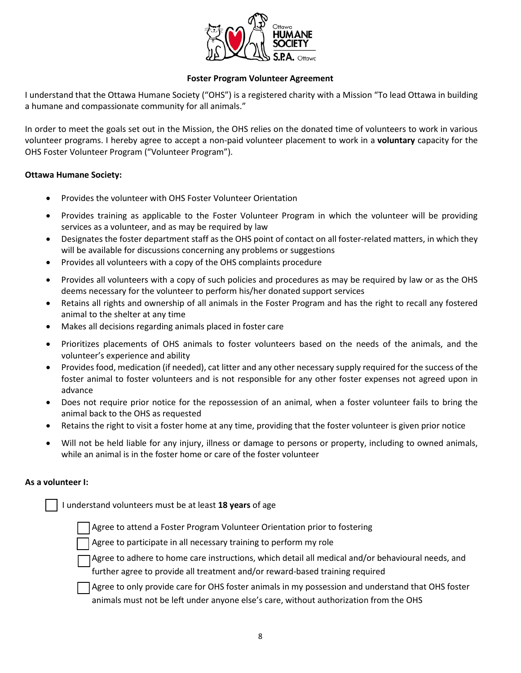

## **Foster Program Volunteer Agreement**

a humane and compassionate community for all animals." I understand that the Ottawa Humane Society ("OHS") is a registered charity with a Mission "To lead Ottawa in building

 volunteer programs. I hereby agree to accept a non-paid volunteer placement to work in a **voluntary** capacity for the In order to meet the goals set out in the Mission, the OHS relies on the donated time of volunteers to work in various OHS Foster Volunteer Program ("Volunteer Program").

#### **Ottawa Humane Society:**

- Provides the volunteer with OHS Foster Volunteer Orientation
- Provides training as applicable to the Foster Volunteer Program in which the volunteer will be providing services as a volunteer, and as may be required by law
- Designates the foster department staff as the OHS point of contact on all foster-related matters, in which they will be available for discussions concerning any problems or suggestions
- Provides all volunteers with a copy of the OHS complaints procedure
- Provides all volunteers with a copy of such policies and procedures as may be required by law or as the OHS deems necessary for the volunteer to perform his/her donated support services
- • Retains all rights and ownership of all animals in the Foster Program and has the right to recall any fostered animal to the shelter at any time
- Makes all decisions regarding animals placed in foster care
- • Prioritizes placements of OHS animals to foster volunteers based on the needs of the animals, and the volunteer's experience and ability
- • Provides food, medication (if needed), cat litter and any other necessary supply required for the success of the foster animal to foster volunteers and is not responsible for any other foster expenses not agreed upon in advance
- • Does not require prior notice for the repossession of an animal, when a foster volunteer fails to bring the animal back to the OHS as requested
- Retains the right to visit a foster home at any time, providing that the foster volunteer is given prior notice
- while an animal is in the foster home or care of the foster volunteer • Will not be held liable for any injury, illness or damage to persons or property, including to owned animals,

### **As a volunteer I:**

I understand volunteers must be at least **18 years** of age

Agree to attend a Foster Program Volunteer Orientation prior to fostering

Agree to participate in all necessary training to perform my role

Agree to adhere to home care instructions, which detail all medical and/or behavioural needs, and further agree to provide all treatment and/or reward-based training required

Agree to only provide care for OHS foster animals in my possession and understand that OHS foster animals must not be left under anyone else's care, without authorization from the OHS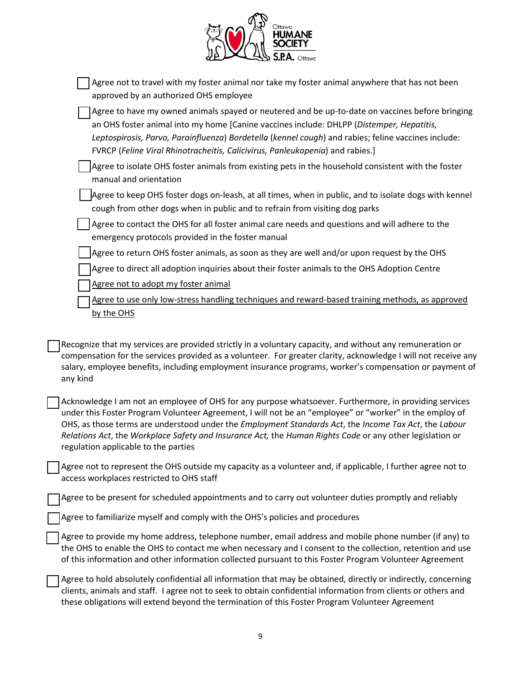| Ottawa<br>MANE<br>HU<br>ΓY |
|----------------------------|
| S.P.A.<br>Ottawa           |

| Agree not to travel with my foster animal nor take my foster animal anywhere that has not been<br>approved by an authorized OHS employee                                                                                                                                                                                                                                                                                                                                       |
|--------------------------------------------------------------------------------------------------------------------------------------------------------------------------------------------------------------------------------------------------------------------------------------------------------------------------------------------------------------------------------------------------------------------------------------------------------------------------------|
| Agree to have my owned animals spayed or neutered and be up-to-date on vaccines before bringing<br>an OHS foster animal into my home [Canine vaccines include: DHLPP (Distemper, Hepatitis,<br>Leptospirosis, Parvo, Parainfluenza) Bordetella (kennel cough) and rabies; feline vaccines include:<br>FVRCP (Feline Viral Rhinotracheitis, Calicivirus, Panleukopenia) and rabies.]                                                                                            |
| Agree to isolate OHS foster animals from existing pets in the household consistent with the foster<br>manual and orientation                                                                                                                                                                                                                                                                                                                                                   |
| Agree to keep OHS foster dogs on-leash, at all times, when in public, and to isolate dogs with kennel<br>cough from other dogs when in public and to refrain from visiting dog parks                                                                                                                                                                                                                                                                                           |
| Agree to contact the OHS for all foster animal care needs and questions and will adhere to the<br>emergency protocols provided in the foster manual                                                                                                                                                                                                                                                                                                                            |
| Agree to return OHS foster animals, as soon as they are well and/or upon request by the OHS                                                                                                                                                                                                                                                                                                                                                                                    |
| Agree to direct all adoption inquiries about their foster animals to the OHS Adoption Centre                                                                                                                                                                                                                                                                                                                                                                                   |
| Agree not to adopt my foster animal                                                                                                                                                                                                                                                                                                                                                                                                                                            |
| Agree to use only low-stress handling techniques and reward-based training methods, as approved                                                                                                                                                                                                                                                                                                                                                                                |
| by the OHS                                                                                                                                                                                                                                                                                                                                                                                                                                                                     |
| Recognize that my services are provided strictly in a voluntary capacity, and without any remuneration or<br>compensation for the services provided as a volunteer. For greater clarity, acknowledge I will not receive any<br>salary, employee benefits, including employment insurance programs, worker's compensation or payment of<br>any kind                                                                                                                             |
| Acknowledge I am not an employee of OHS for any purpose whatsoever. Furthermore, in providing services<br>under this Foster Program Volunteer Agreement, I will not be an "employee" or "worker" in the employ of<br>OHS, as those terms are understood under the Employment Standards Act, the Income Tax Act, the Labour<br>Relations Act, the Workplace Safety and Insurance Act, the Human Rights Code or any other legislation or<br>regulation applicable to the parties |
| Agree not to represent the OHS outside my capacity as a volunteer and, if applicable, I further agree not to<br>access workplaces restricted to OHS staff                                                                                                                                                                                                                                                                                                                      |
| Agree to be present for scheduled appointments and to carry out volunteer duties promptly and reliably                                                                                                                                                                                                                                                                                                                                                                         |
| Agree to familiarize myself and comply with the OHS's policies and procedures                                                                                                                                                                                                                                                                                                                                                                                                  |
| Agree to provide my home address, telephone number, email address and mobile phone number (if any) to<br>the OHS to enable the OHS to contact me when necessary and I consent to the collection, retention and use<br>of this information and other information collected pursuant to this Foster Program Volunteer Agreement                                                                                                                                                  |
| Agree to hold absolutely confidential all information that may be obtained, directly or indirectly, concerning                                                                                                                                                                                                                                                                                                                                                                 |